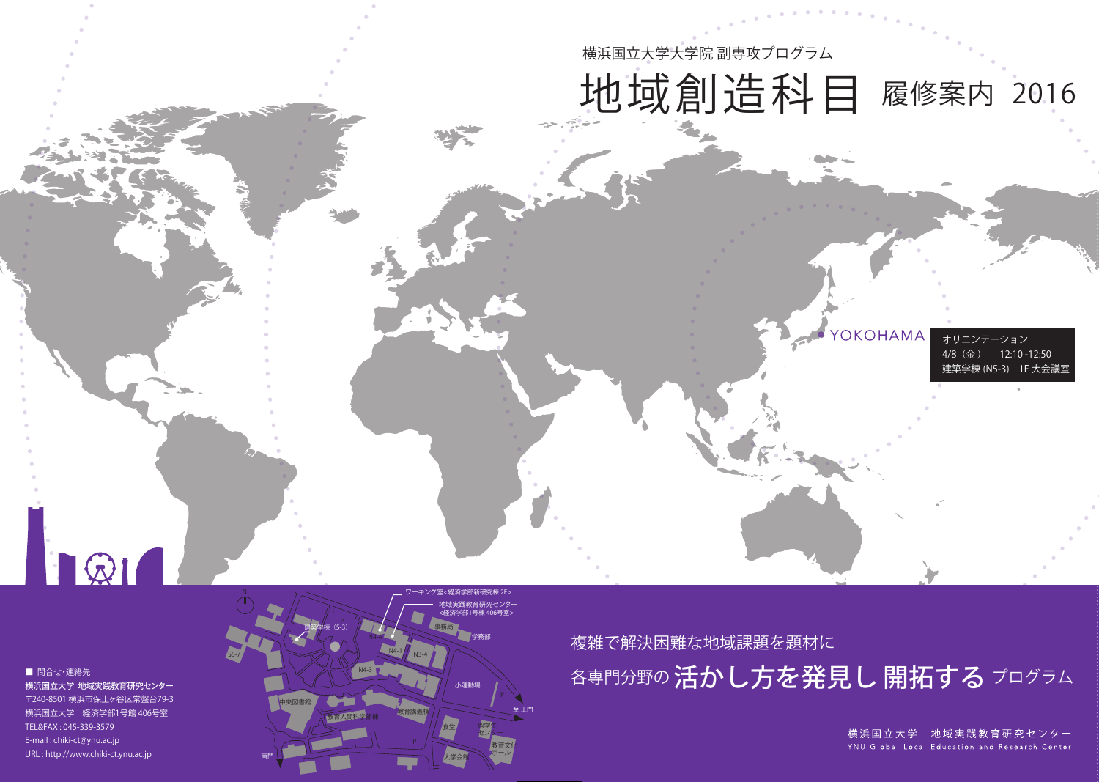横浜国立大学 地域実践教育研究センター 〒240-8501 横浜市保土ヶ谷区常盤台79-3 横浜国立大学 経済学部1号館 406号室 TEL&FAX : 045-339-3579 E-mail : chiki-ct@ynu.ac.jp URL : http://www.chiki-ct.ynu.ac.jp

IQI

各専門分野の活かし方を発見し開拓する プログラム 複雑で解決困難な地域課題を題材に



横浜国立大学大学院 副専攻プログラム



横浜国立大学 地域実践教育研究センター YNU Global-Local Education and Research Center

## ■ 問合せ・連絡先